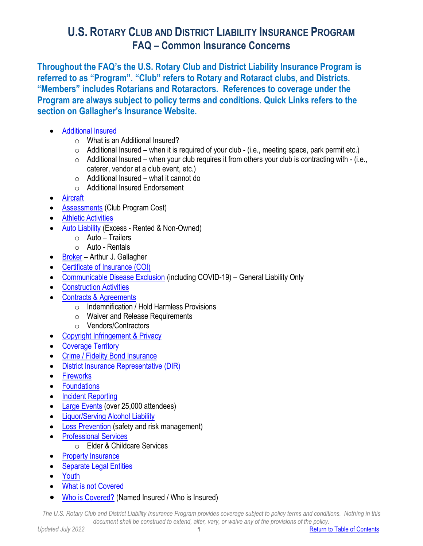<span id="page-0-0"></span>**Throughout the FAQ's the U.S. Rotary Club and District Liability Insurance Program is referred to as "Program". "Club" refers to Rotary and Rotaract clubs, and Districts. "Members" includes Rotarians and Rotaractors. References to coverage under the Program are always subject to policy terms and conditions. Quick Links refers to the section on Gallagher's Insurance Website.**

- [Additional Insured](#page-1-0)
	- o What is an Additional Insured?
	- $\circ$  Additional Insured when it is required of your club (i.e., meeting space, park permit etc.)
	- $\circ$  Additional Insured when your club requires it from others your club is contracting with (i.e., caterer, vendor at a club event, etc.)
	- $\circ$  Additional Insured what it cannot do
	- o Additional Insured Endorsement
- [Aircraft](#page-2-0)
- **[Assessments](#page-2-1)** (Club Program Cost)
- **[Athletic Activities](#page-3-0)**
- [Auto Liability](#page-3-1) (Excess Rented & Non-Owned)
	- o Auto Trailers
	- o Auto Rentals
- [Broker](#page-3-2) Arthur J. Gallagher
- [Certificate of Insurance](#page-4-0) (COI)
- [Communicable Disease Exclusion](#page-4-1) (including COVID-19) General Liability Only
- [Construction Activities](#page-4-2)
- [Contracts & Agreements](#page-5-0)
	- o Indemnification / Hold Harmless Provisions
	- o Waiver and Release Requirements
	- o Vendors/Contractors
- [Copyright Infringement](#page-6-0) & Privacy
- [Coverage Territory](#page-6-1)
- [Crime / Fidelity Bond Insurance](#page-7-0)
- [District Insurance Representative \(DIR\)](#page-7-1)
- [Fireworks](#page-7-2)
- [Foundations](#page-8-0)
- [Incident Reporting](#page-8-1)
- [Large Events](#page-8-2) (over 25,000 attendees)
- [Liquor/Serving Alcohol](#page-9-0) Liability
- [Loss Prevention](#page-9-1) (safety and risk management)
- **[Professional Services](#page-10-0)** 
	- o Elder & Childcare Services
- [Property Insurance](#page-10-1)
- [Separate Legal Entities](#page-10-2)
- [Youth](#page-11-0)
- [What is not Covered](#page-11-1)
- [Who is Covered?](#page-9-2) (Named Insured / Who is Insured)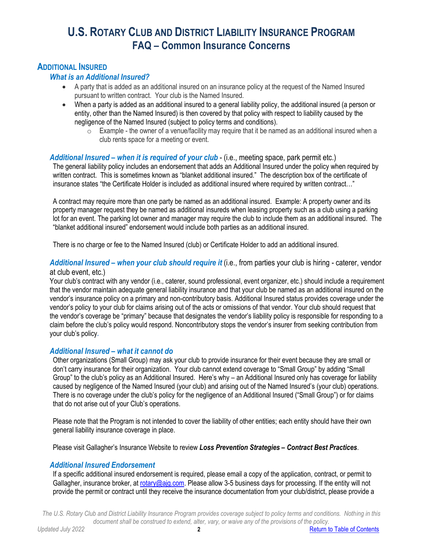## <span id="page-1-0"></span>**ADDITIONAL INSURED**

### *What is an Additional Insured?*

- A party that is added as an additional insured on an insurance policy at the request of the Named Insured pursuant to written contract. Your club is the Named Insured.
- When a party is added as an additional insured to a general liability policy, the additional insured (a person or entity, other than the Named Insured) is then covered by that policy with respect to liability caused by the negligence of the Named Insured (subject to policy terms and conditions).
	- $\circ$  Example the owner of a venue/facility may require that it be named as an additional insured when a club rents space for a meeting or event.

#### *Additional Insured – when it is required of your club* - (i.e., meeting space, park permit etc.)

The general liability policy includes an endorsement that adds an Additional Insured under the policy when required by written contract. This is sometimes known as "blanket additional insured." The description box of the certificate of insurance states "the Certificate Holder is included as additional insured where required by written contract…"

A contract may require more than one party be named as an additional insured. Example: A property owner and its property manager request they be named as additional insureds when leasing property such as a club using a parking lot for an event. The parking lot owner and manager may require the club to include them as an additional insured. The "blanket additional insured" endorsement would include both parties as an additional insured.

There is no charge or fee to the Named Insured (club) or Certificate Holder to add an additional insured.

### *Additional Insured – when your club should require it* (i.e., from parties your club is hiring - caterer, vendor at club event, etc.)

Your club's contract with any vendor (i.e., caterer, sound professional, event organizer, etc.) should include a requirement that the vendor maintain adequate general liability insurance and that your club be named as an additional insured on the vendor's insurance policy on a primary and non-contributory basis. Additional Insured status provides coverage under the vendor's policy to your club for claims arising out of the acts or omissions of that vendor. Your club should request that the vendor's coverage be "primary" because that designates the vendor's liability policy is responsible for responding to a claim before the club's policy would respond. Noncontributory stops the vendor's insurer from seeking contribution from your club's policy*.* 

### *Additional Insured – what it cannot do*

Other organizations (Small Group) may ask your club to provide insurance for their event because they are small or don't carry insurance for their organization. Your club cannot extend coverage to "Small Group" by adding "Small Group" to the club's policy as an Additional Insured. Here's why – an Additional Insured only has coverage for liability caused by negligence of the Named Insured (your club) and arising out of the Named Insured's (your club) operations. There is no coverage under the club's policy for the negligence of an Additional Insured ("Small Group") or for claims that do not arise out of your Club's operations.

Please note that the Program is not intended to cover the liability of other entities; each entity should have their own general liability insurance coverage in place.

Please visit Gallagher's Insurance Website to review *Loss Prevention Strategies – Contract Best Practices*.

### *Additional Insured Endorsement*

If a specific additional insured endorsement is required, please email a copy of the application, contract, or permit to Gallagher, insurance broker, at [rotary@ajg.com.](mailto:rotary@ajg.com) Please allow 3-5 business days for processing. If the entity will not provide the permit or contract until they receive the insurance documentation from your club/district, please provide a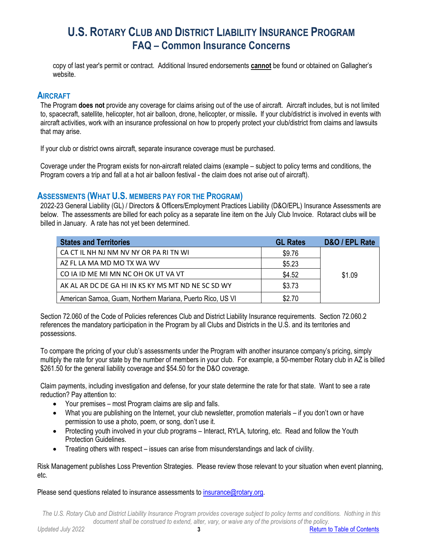copy of last year's permit or contract. Additional Insured endorsements **cannot** be found or obtained on Gallagher's website.

### <span id="page-2-0"></span>**AIRCRAFT**

The Program **does not** provide any coverage for claims arising out of the use of aircraft. Aircraft includes, but is not limited to, spacecraft, satellite, helicopter, hot air balloon, drone, helicopter, or missile**.**If your club/district is involved in events with aircraft activities, work with an insurance professional on how to properly protect your club/district from claims and lawsuits that may arise.

If your club or district owns aircraft, separate insurance coverage must be purchased.

Coverage under the Program exists for non-aircraft related claims (example – subject to policy terms and conditions, the Program covers a trip and fall at a hot air balloon festival - the claim does not arise out of aircraft).

## <span id="page-2-1"></span>**ASSESSMENTS (WHAT U.S. MEMBERS PAY FOR THE PROGRAM)**

2022-23 General Liability (GL) / Directors & Officers/Employment Practices Liability (D&O/EPL) Insurance Assessments are below. The assessments are billed for each policy as a separate line item on the July Club Invoice. Rotaract clubs will be billed in January. A rate has not yet been determined.

| <b>States and Territories</b>                              | <b>GL Rates</b> | D&O / EPL Rate |
|------------------------------------------------------------|-----------------|----------------|
| CA CT IL NH NJ NM NV NY OR PA RI TN WI                     | \$9.76          |                |
| AZ FL LA MA MD MO TX WA WV                                 | \$5.23          |                |
| CO IA ID ME MI MN NC OH OK UT VA VT                        | \$4.52          | \$1.09         |
| AK AL AR DC DE GA HI IN KS KY MS MT ND NE SC SD WY         | \$3.73          |                |
| American Samoa, Guam, Northern Mariana, Puerto Rico, US VI | \$2.70          |                |

Section 72.060 of the Code of Policies references Club and District Liability Insurance requirements. Section 72.060.2 references the mandatory participation in the Program by all Clubs and Districts in the U.S. and its territories and possessions.

To compare the pricing of your club's assessments under the Program with another insurance company's pricing, simply multiply the rate for your state by the number of members in your club. For example, a 50-member Rotary club in AZ is billed \$261.50 for the general liability coverage and \$54.50 for the D&O coverage.

Claim payments, including investigation and defense, for your state determine the rate for that state. Want to see a rate reduction? Pay attention to:

- Your premises most Program claims are slip and falls.
- What you are publishing on the Internet, your club newsletter, promotion materials if you don't own or have permission to use a photo, poem, or song, don't use it.
- Protecting youth involved in your club programs Interact, RYLA, tutoring, etc. Read and follow the Youth Protection Guidelines.
- Treating others with respect issues can arise from misunderstandings and lack of civility.

Risk Management publishes Loss Prevention Strategies. Please review those relevant to your situation when event planning, etc.

Please send questions related to insurance assessments to [insurance@rotary.org.](mailto:insurance@rotary.org)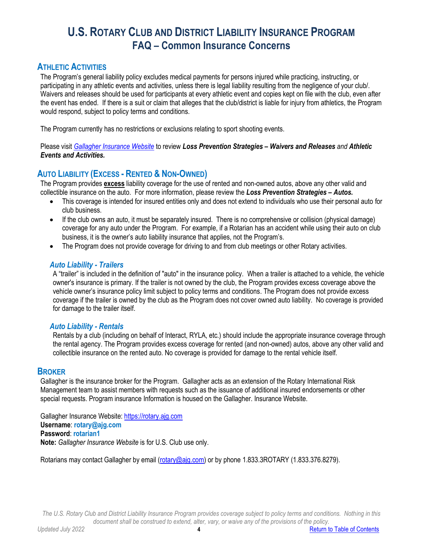## <span id="page-3-0"></span>**ATHLETIC ACTIVITIES**

The Program's general liability policy excludes medical payments for persons injured while practicing, instructing, or participating in any athletic events and activities, unless there is legal liability resulting from the negligence of your club/. Waivers and releases should be used for participants at every athletic event and copies kept on file with the club, even after the event has ended. If there is a suit or claim that alleges that the club/district is liable for injury from athletics, the Program would respond, subject to policy terms and conditions.

The Program currently has no restrictions or exclusions relating to sport shooting events.

Please visit *Gallagher [Insurance Website](https://rotary.ajg.com/)* to review *Loss Prevention Strategies – Waivers and Releases and Athletic Events and Activities.* 

# <span id="page-3-1"></span>**AUTO LIABILITY (EXCESS - RENTED & NON-OWNED)**

The Program provides **excess** liability coverage for the use of rented and non-owned autos, above any other valid and collectible insurance on the auto. For more information, please review the *Loss Prevention Strategies – Autos.* 

- This coverage is intended for insured entities only and does not extend to individuals who use their personal auto for club business.
- If the club owns an auto, it must be separately insured. There is no comprehensive or collision (physical damage) coverage for any auto under the Program. For example, if a Rotarian has an accident while using their auto on club business, it is the owner's auto liability insurance that applies, not the Program's.
- The Program does not provide coverage for driving to and from club meetings or other Rotary activities.

### *Auto Liability - Trailers*

A "trailer" is included in the definition of "auto" in the insurance policy. When a trailer is attached to a vehicle, the vehicle owner's insurance is primary. If the trailer is not owned by the club, the Program provides excess coverage above the vehicle owner's insurance policy limit subject to policy terms and conditions. The Program does not provide excess coverage if the trailer is owned by the club as the Program does not cover owned auto liability. No coverage is provided for damage to the trailer itself.

### *Auto Liability - Rentals*

Rentals by a club (including on behalf of Interact, RYLA, etc.) should include the appropriate insurance coverage through the rental agency. The Program provides excess coverage for rented (and non-owned) autos, above any other valid and collectible insurance on the rented auto. No coverage is provided for damage to the rental vehicle itself.

### <span id="page-3-2"></span>**BROKER**

Gallagher is the insurance broker for the Program. Gallagher acts as an extension of the Rotary International Risk Management team to assist members with requests such as the issuance of additional insured endorsements or other special requests. Program insurance Information is housed on the Gallagher. Insurance Website.

Gallagher Insurance Website: [https://rotary.ajg.com](https://rotary.ajg.com/) **Username**: **rotary@ajg.com Password**: **rotarian1 Note:** *Gallagher Insurance Website* is for U.S. Club use only.

Rotarians may contact Gallagher by email [\(rotary@ajg.com\)](mailto:rotary@ajg.com) or by phone 1.833.3ROTARY (1.833.376.8279).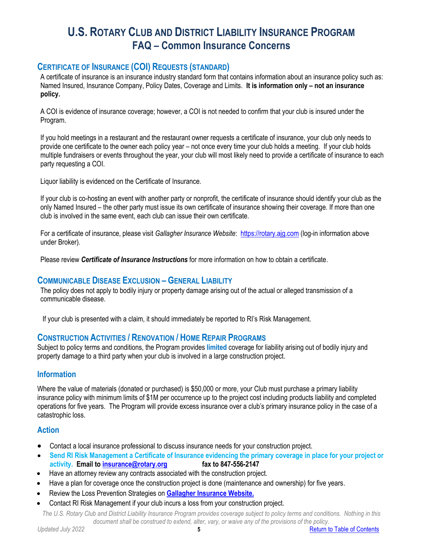# <span id="page-4-0"></span>**CERTIFICATE OF INSURANCE (COI) REQUESTS (STANDARD)**

A certificate of insurance is an insurance industry standard form that contains information about an insurance policy such as: Named Insured, Insurance Company, Policy Dates, Coverage and Limits. **It is information only – not an insurance policy.**

A COI is evidence of insurance coverage; however, a COI is not needed to confirm that your club is insured under the Program.

If you hold meetings in a restaurant and the restaurant owner requests a certificate of insurance, your club only needs to provide one certificate to the owner each policy year – not once every time your club holds a meeting. If your club holds multiple fundraisers or events throughout the year, your club will most likely need to provide a certificate of insurance to each party requesting a COI.

Liquor liability is evidenced on the Certificate of Insurance.

If your club is co-hosting an event with another party or nonprofit, the certificate of insurance should identify your club as the only Named Insured – the other party must issue its own certificate of insurance showing their coverage. If more than one club is involved in the same event, each club can issue their own certificate.

For a certificate of insurance, please visit *Gallagher Insurance Website*: [https://rotary.ajg.com](https://rotary.ajg.com/) (log-in information above under Broker).

Please review *Certificate of Insurance Instructions* for more information on how to obtain a certificate.

## <span id="page-4-1"></span>**COMMUNICABLE DISEASE EXCLUSION – GENERAL LIABILITY**

The policy does not apply to bodily injury or property damage arising out of the actual or alleged transmission of a communicable disease.

If your club is presented with a claim, it should immediately be reported to RI's Risk Management.

## <span id="page-4-2"></span>**CONSTRUCTION ACTIVITIES / RENOVATION / HOME REPAIR PROGRAMS**

Subject to policy terms and conditions, the Program provides **limited** coverage for liability arising out of bodily injury and property damage to a third party when your club is involved in a large construction project.

### **Information**

Where the value of materials (donated or purchased) is \$50,000 or more, your Club must purchase a primary liability insurance policy with minimum limits of \$1M per occurrence up to the project cost including products liability and completed operations for five years. The Program will provide excess insurance over a club's primary insurance policy in the case of a catastrophic loss.

### **Action**

- Contact a local insurance professional to discuss insurance needs for your construction project.
- **Send RI Risk Management a Certificate of Insurance evidencing the primary coverage in place for your project or activity. Email to [insurance@rotary.org](mailto:insurance@rotary.org) fax to 847-556-2147**
- Have an attorney review any contracts associated with the construction project.
- Have a plan for coverage once the construction project is done (maintenance and ownership) for five years.
- Review the Loss Prevention Strategies on **[Gallagher Insurance Website.](https://rotary.ajg.com/)**
- Contact RI Risk Management if your club incurs a loss from your construction project.

*The U.S. Rotary Club and District Liability Insurance Program provides coverage subject to policy terms and conditions. Nothing in this document shall be construed to extend, alter, vary, or waive any of the provisions of the policy.* 

*Updated July 2022* **5** [Return to Table of Contents](#page-0-0)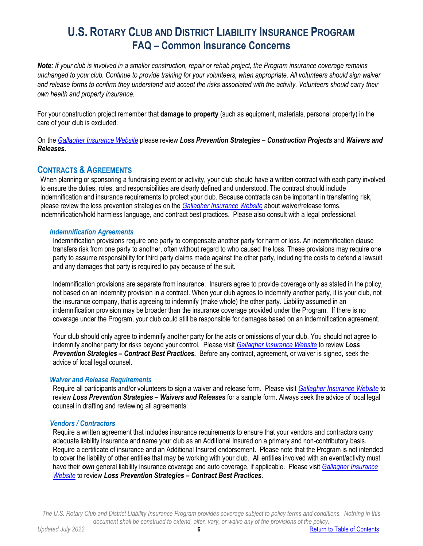*Note: If your club is involved in a smaller construction, repair or rehab project, the Program insurance coverage remains unchanged to your club. Continue to provide training for your volunteers, when appropriate. All volunteers should sign waiver and release forms to confirm they understand and accept the risks associated with the activity. Volunteers should carry their own health and property insurance.*

For your construction project remember that **damage to property** (such as equipment, materials, personal property) in the care of your club is excluded.

On the *Gallagher [Insurance Website](https://rotary.ajg.com/)* please review *Loss Prevention Strategies – Construction Projects* and *Waivers and Releases.* 

## <span id="page-5-0"></span>**CONTRACTS & AGREEMENTS**

When planning or sponsoring a fundraising event or activity, your club should have a written contract with each party involved to ensure the duties, roles, and responsibilities are clearly defined and understood. The contract should include indemnification and insurance requirements to protect your club. Because contracts can be important in transferring risk, please review the loss prevention strategies on the *Gallagher [Insurance Website](https://rotary.ajg.com/)* about waiver/release forms, indemnification/hold harmless language, and contract best practices. Please also consult with a legal professional.

#### *Indemnification Agreements*

Indemnification provisions require one party to compensate another party for harm or loss. An indemnification clause transfers risk from one party to another, often without regard to who caused the loss. These provisions may require one party to assume responsibility for third party claims made against the other party, including the costs to defend a lawsuit and any damages that party is required to pay because of the suit.

Indemnification provisions are separate from insurance. Insurers agree to provide coverage only as stated in the policy, not based on an indemnity provision in a contract. When your club agrees to indemnify another party, it is your club, not the insurance company, that is agreeing to indemnify (make whole) the other party. Liability assumed in an indemnification provision may be broader than the insurance coverage provided under the Program. If there is no coverage under the Program, your club could still be responsible for damages based on an indemnification agreement.

Your club should only agree to indemnify another party for the acts or omissions of your club. You should not agree to indemnify another party for risks beyond your control. Please visit *Gallagher [Insurance Website](https://rotary.ajg.com/)* to review *Loss Prevention Strategies – Contract Best Practices.* Before any contract, agreement, or waiver is signed, seek the advice of local legal counsel.

#### *Waiver and Release Requirements*

Require all participants and/or volunteers to sign a waiver and release form. Please visit *[Gallagher Insurance Website](https://rotary.ajg.com/)* to review *Loss Prevention Strategies – Waivers and Releases* for a sample form. Always seek the advice of local legal counsel in drafting and reviewing all agreements.

### *Vendors / Contractors*

Require a written agreement that includes insurance requirements to ensure that your vendors and contractors carry adequate liability insurance and name your club as an Additional Insured on a primary and non-contributory basis. Require a certificate of insurance and an Additional Insured endorsement. Please note that the Program is not intended to cover the liability of other entities that may be working with your club. All entities involved with an event/activity must have their *own* general liability insurance coverage and auto coverage, if applicable. Please visit *Gallagher [Insurance](https://rotary.ajg.com/)  [Website](https://rotary.ajg.com/)* to review *Loss Prevention Strategies – Contract Best Practices***.**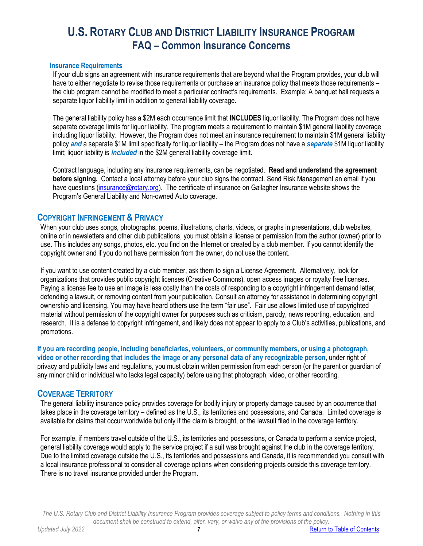#### **Insurance Requirements**

If your club signs an agreement with insurance requirements that are beyond what the Program provides, your club will have to either negotiate to revise those requirements or purchase an insurance policy that meets those requirements – the club program cannot be modified to meet a particular contract's requirements. Example: A banquet hall requests a separate liquor liability limit in addition to general liability coverage.

The general liability policy has a \$2M each occurrence limit that **INCLUDES** liquor liability. The Program does not have separate coverage limits for liquor liability. The program meets a requirement to maintain \$1M general liability coverage including liquor liability. However, the Program does not meet an insurance requirement to maintain \$1M general liability policy *and* a separate \$1M limit specifically for liquor liability – the Program does not have a *separate* \$1M liquor liability limit; liquor liability is *included* in the \$2M general liability coverage limit.

Contract language, including any insurance requirements, can be negotiated. **Read and understand the agreement before signing.** Contact a local attorney before your club signs the contract. Send Risk Management an email if you have questions [\(insurance@rotary.org\)](mailto:insurance@rotary.org). The certificate of insurance on Gallagher Insurance website shows the Program's General Liability and Non-owned Auto coverage.

### <span id="page-6-0"></span>**COPYRIGHT INFRINGEMENT & PRIVACY**

When your club uses songs, photographs, poems, illustrations, charts, videos, or graphs in presentations, club websites, online or in newsletters and other club publications, you must obtain a license or permission from the author (owner) prior to use. This includes any songs, photos, etc. you find on the Internet or created by a club member. If you cannot identify the copyright owner and if you do not have permission from the owner, do not use the content.

If you want to use content created by a club member, ask them to sign a License Agreement. Alternatively, look for organizations that provides public copyright licenses (Creative Commons), open access images or royalty free licenses. Paying a license fee to use an image is less costly than the costs of responding to a copyright infringement demand letter, defending a lawsuit, or removing content from your publication. Consult an attorney for assistance in determining copyright ownership and licensing. You may have heard others use the term "fair use". Fair use allows limited use of copyrighted material without permission of the copyright owner for purposes such as criticism, parody, news reporting, education, and research. It is a defense to copyright infringement, and likely does not appear to apply to a Club's activities, publications, and promotions.

**If you are recording people, including beneficiaries, volunteers, or community members, or using a photograph, video or other recording that includes the image or any personal data of any recognizable person**, under right of privacy and publicity laws and regulations, you must obtain written permission from each person (or the parent or guardian of any minor child or individual who lacks legal capacity) before using that photograph, video, or other recording.

### <span id="page-6-1"></span>**COVERAGE TERRITORY**

The general liability insurance policy provides coverage for bodily injury or property damage caused by an occurrence that takes place in the coverage territory – defined as the U.S., its territories and possessions, and Canada. Limited coverage is available for claims that occur worldwide but only if the claim is brought, or the lawsuit filed in the coverage territory.

For example, if members travel outside of the U.S., its territories and possessions, or Canada to perform a service project, general liability coverage would apply to the service project if a suit was brought against the club in the coverage territory. Due to the limited coverage outside the U.S., its territories and possessions and Canada, it is recommended you consult with a local insurance professional to consider all coverage options when considering projects outside this coverage territory. There is no travel insurance provided under the Program.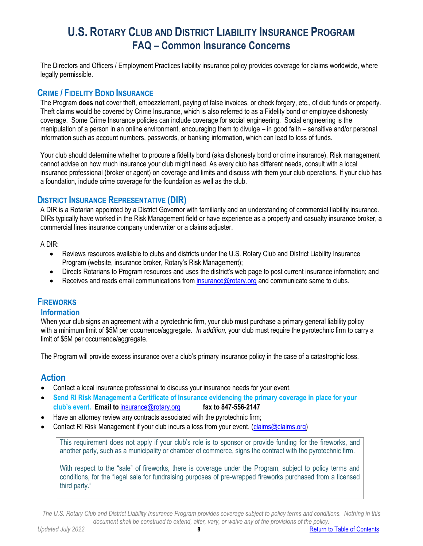The Directors and Officers / Employment Practices liability insurance policy provides coverage for claims worldwide, where legally permissible.

## <span id="page-7-0"></span>**CRIME / FIDELITY BOND INSURANCE**

The Program **does not** cover theft, embezzlement, paying of false invoices, or check forgery, etc., of club funds or property. Theft claims would be covered by Crime Insurance, which is also referred to as a Fidelity bond or employee dishonesty coverage. Some Crime Insurance policies can include coverage for social engineering. Social engineering is the manipulation of a person in an online environment, encouraging them to divulge – in good faith – sensitive and/or personal information such as account numbers, passwords, or banking information, which can lead to loss of funds.

Your club should determine whether to procure a fidelity bond (aka dishonesty bond or crime insurance). Risk management cannot advise on how much insurance your club might need. As every club has different needs, consult with a local insurance professional (broker or agent) on coverage and limits and discuss with them your club operations. If your club has a foundation, include crime coverage for the foundation as well as the club.

## <span id="page-7-1"></span>**DISTRICT INSURANCE REPRESENTATIVE (DIR)**

A DIR is a Rotarian appointed by a District Governor with familiarity and an understanding of commercial liability insurance. DIRs typically have worked in the Risk Management field or have experience as a property and casualty insurance broker, a commercial lines insurance company underwriter or a claims adjuster.

A DIR:

- Reviews resources available to clubs and districts under the U.S. Rotary Club and District Liability Insurance Program (website, insurance broker, Rotary's Risk Management);
- Directs Rotarians to Program resources and uses the district's web page to post current insurance information; and
- Receives and reads email communications fro[m insurance@rotary.org](mailto:insurance@rotary.org) and communicate same to clubs.

# <span id="page-7-2"></span>**FIREWORKS**

### **Information**

When your club signs an agreement with a pyrotechnic firm, your club must purchase a primary general liability policy with a minimum limit of \$5M per occurrence/aggregate. *In addition,* your club must require the pyrotechnic firm to carry a limit of \$5M per occurrence/aggregate.

The Program will provide excess insurance over a club's primary insurance policy in the case of a catastrophic loss.

## **Action**

- Contact a local insurance professional to discuss your insurance needs for your event.
- **Send RI Risk Management a Certificate of Insurance evidencing the primary coverage in place for your club's event. Email to** [insurance@rotary.org](mailto:insurance@rotary.org) **fax to 847-556-2147**
- Have an attorney review any contracts associated with the pyrotechnic firm;
- Contact RI Risk Management if your club incurs a loss from your event. [\(claims@claims.org\)](mailto:claims@claims.org)

This requirement does not apply if your club's role is to sponsor or provide funding for the fireworks, and another party, such as a municipality or chamber of commerce, signs the contract with the pyrotechnic firm.

With respect to the "sale" of fireworks, there is coverage under the Program, subject to policy terms and conditions, for the "legal sale for fundraising purposes of pre-wrapped fireworks purchased from a licensed third party."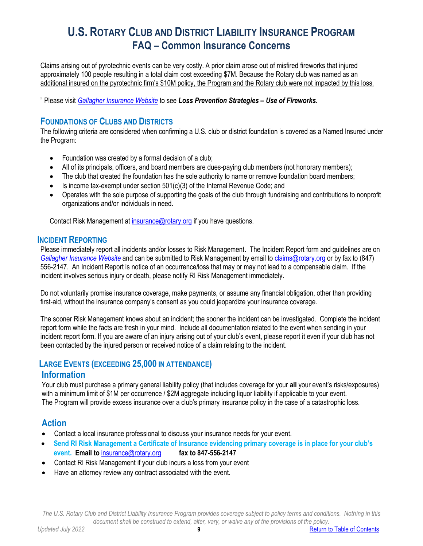Claims arising out of pyrotechnic events can be very costly. A prior claim arose out of misfired fireworks that injured approximately 100 people resulting in a total claim cost exceeding \$7M. Because the Rotary club was named as an additional insured on the pyrotechnic firm's \$10M policy, the Program and the Rotary club were not impacted by this loss.

<span id="page-8-0"></span>" Please visit *Gallagher [Insurance Website](https://rotary.ajg.com/)* to see *Loss Prevention Strategies – Use of Fireworks.*

## **FOUNDATIONS OF CLUBS AND DISTRICTS**

The following criteria are considered when confirming a U.S. club or district foundation is covered as a Named Insured under the Program:

- Foundation was created by a formal decision of a club;
- All of its principals, officers, and board members are dues-paying club members (not honorary members);
- The club that created the foundation has the sole authority to name or remove foundation board members;
- Is income tax-exempt under section 501(c)(3) of the Internal Revenue Code; and
- Operates with the sole purpose of supporting the goals of the club through fundraising and contributions to nonprofit organizations and/or individuals in need.

Contact Risk Management at [insurance@rotary.org](mailto:insurance@rotary.org) if you have questions.

### <span id="page-8-1"></span>**INCIDENT REPORTING**

Please immediately report all incidents and/or losses to Risk Management. The Incident Report form and guidelines are on *[Gallagher Insurance Website](https://rotary.ajg.com/)* and can be submitted to Risk Management by email t[o claims@rotary.org](mailto:claims@rotary.org) or by fax to (847) 556-2147. An Incident Report is notice of an occurrence/loss that may or may not lead to a compensable claim. If the incident involves serious injury or death, please notify RI Risk Management immediately.

Do not voluntarily promise insurance coverage, make payments, or assume any financial obligation, other than providing first-aid, without the insurance company's consent as you could jeopardize your insurance coverage.

The sooner Risk Management knows about an incident; the sooner the incident can be investigated. Complete the incident report form while the facts are fresh in your mind. Include all documentation related to the event when sending in your incident report form. If you are aware of an injury arising out of your club's event, please report it even if your club has not been contacted by the injured person or received notice of a claim relating to the incident.

### <span id="page-8-2"></span>**LARGE EVENTS (EXCEEDING 25,000 IN ATTENDANCE)**

### **Information**

Your club must purchase a primary general liability policy (that includes coverage for your **all** your event's risks/exposures) with a minimum limit of \$1M per occurrence / \$2M aggregate including liquor liability if applicable to your event. The Program will provide excess insurance over a club's primary insurance policy in the case of a catastrophic loss.

## **Action**

- Contact a local insurance professional to discuss your insurance needs for your event.
- **Send RI Risk Management a Certificate of Insurance evidencing primary coverage is in place for your club's event. Email to** [insurance@rotary.org](mailto:insurance@rotary.org) **fax to 847-556-2147**
- Contact RI Risk Management if your club incurs a loss from your event
- Have an attorney review any contract associated with the event.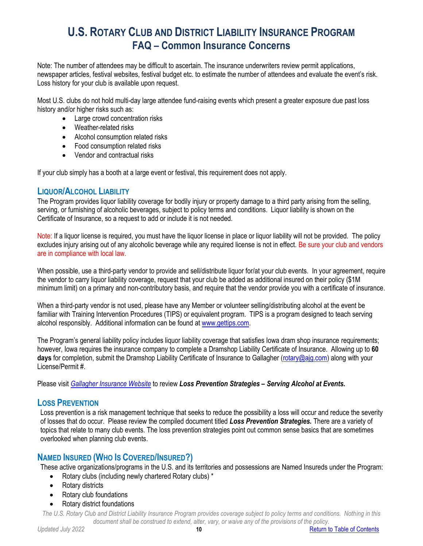Note: The number of attendees may be difficult to ascertain. The insurance underwriters review permit applications, newspaper articles, festival websites, festival budget etc. to estimate the number of attendees and evaluate the event's risk. Loss history for your club is available upon request.

Most U.S. clubs do not hold multi-day large attendee fund-raising events which present a greater exposure due past loss history and/or higher risks such as:

- Large crowd concentration risks
- Weather-related risks
- Alcohol consumption related risks
- Food consumption related risks
- Vendor and contractual risks

If your club simply has a booth at a large event or festival, this requirement does not apply.

## <span id="page-9-0"></span>**LIQUOR/ALCOHOL LIABILITY**

The Program provides liquor liability coverage for bodily injury or property damage to a third party arising from the selling, serving, or furnishing of alcoholic beverages, subject to policy terms and conditions. Liquor liability is shown on the Certificate of Insurance, so a request to add or include it is not needed.

Note: If a liquor license is required, you must have the liquor license in place or liquor liability will not be provided. The policy excludes injury arising out of any alcoholic beverage while any required license is not in effect. Be sure your club and vendors are in compliance with local law.

When possible, use a third-party vendor to provide and sell/distribute liquor for/at your club events. In your agreement, require the vendor to carry liquor liability coverage, request that your club be added as additional insured on their policy (\$1M minimum limit) on a primary and non-contributory basis, and require that the vendor provide you with a certificate of insurance.

When a third-party vendor is not used, please have any Member or volunteer selling/distributing alcohol at the event be familiar with Training Intervention Procedures (TIPS) or equivalent program. TIPS is a program designed to teach serving alcohol responsibly. Additional information can be found at [www.gettips.com.](http://www.gettips.com/)

The Program's general liability policy includes liquor liability coverage that satisfies Iowa dram shop insurance requirements; however, Iowa requires the insurance company to complete a Dramshop Liability Certificate of Insurance. Allowing up to **60 days** for completion, submit the Dramshop Liability Certificate of Insurance to Gallagher [\(rotary@ajg.com\)](mailto:rotary@ajg.com) along with your License/Permit #.

Please visit *[Gallagher Insurance Website](https://rotary.ajg.com/)* to review *Loss Prevention Strategies – Serving Alcohol at Events.*

### <span id="page-9-1"></span>**LOSS PREVENTION**

Loss prevention is a risk management technique that seeks to reduce the possibility a loss will occur and reduce the severity of losses that do occur. Please review the compiled document titled *Loss Prevention Strategies.* There are a variety of topics that relate to many club events. The loss prevention strategies point out common sense basics that are sometimes overlooked when planning club events.

# <span id="page-9-2"></span>**NAMED INSURED (WHO IS COVERED/INSURED?)**

These active organizations/programs in the U.S. and its territories and possessions are Named Insureds under the Program:

- Rotary clubs (including newly chartered Rotary clubs) \*
- Rotary districts
- Rotary club foundations
- Rotary district foundations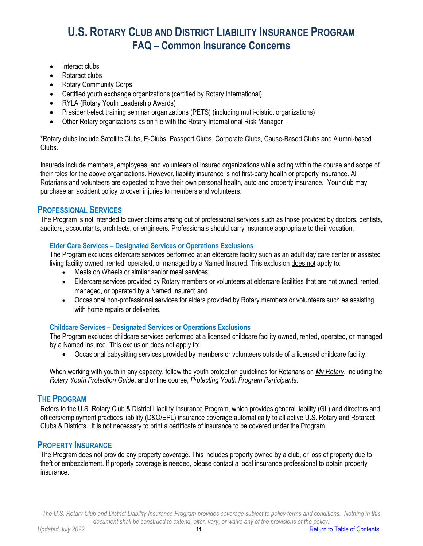- Interact clubs
- Rotaract clubs
- Rotary Community Corps
- Certified youth exchange organizations (certified by Rotary International)
- RYLA (Rotary Youth Leadership Awards)
- President-elect training seminar organizations (PETS) (including mutli-district organizations)
- Other Rotary organizations as on file with the Rotary International Risk Manager

\*Rotary clubs include Satellite Clubs, E-Clubs, Passport Clubs, Corporate Clubs, Cause-Based Clubs and Alumni-based Clubs.

Insureds include members, employees, and volunteers of insured organizations while acting within the course and scope of their roles for the above organizations. However, liability insurance is not first-party health or property insurance. All Rotarians and volunteers are expected to have their own personal health, auto and property insurance. Your club may purchase an accident policy to cover injuries to members and volunteers.

## <span id="page-10-0"></span>**PROFESSIONAL SERVICES**

The Program is not intended to cover claims arising out of professional services such as those provided by doctors, dentists, auditors, accountants, architects, or engineers. Professionals should carry insurance appropriate to their vocation.

#### **Elder Care Services – Designated Services or Operations Exclusions**

The Program excludes eldercare services performed at an eldercare facility such as an adult day care center or assisted living facility owned, rented, operated, or managed by a Named Insured. This exclusion does not apply to:

- Meals on Wheels or similar senior meal services;
- Eldercare services provided by Rotary members or volunteers at eldercare facilities that are not owned, rented, managed, or operated by a Named Insured; and
- Occasional non-professional services for elders provided by Rotary members or volunteers such as assisting with home repairs or deliveries.

### **Childcare Services – Designated Services or Operations Exclusions**

The Program excludes childcare services performed at a licensed childcare facility owned, rented, operated, or managed by a Named Insured. This exclusion does not apply to:

• Occasional babysitting services provided by members or volunteers outside of a licensed childcare facility.

When working with youth in any capacity, follow the youth protection guidelines for Rotarians on *[My Rotary](https://my.rotary.org/en/)*, including the *[Rotary Youth Protection Guide](https://my.rotary.org/en/document/rotary-youth-protection-guide)*, and online course, *Protecting Youth Program Participants*.

### **THE PROGRAM**

Refers to the U.S. Rotary Club & District Liability Insurance Program, which provides general liability (GL) and directors and officers/employment practices liability (D&O/EPL) insurance coverage automatically to all active U.S. Rotary and Rotaract Clubs & Districts. It is not necessary to print a certificate of insurance to be covered under the Program.

### <span id="page-10-1"></span>**PROPERTY INSURANCE**

<span id="page-10-2"></span>The Program does not provide any property coverage. This includes property owned by a club, or loss of property due to theft or embezzlement. If property coverage is needed, please contact a local insurance professional to obtain property insurance.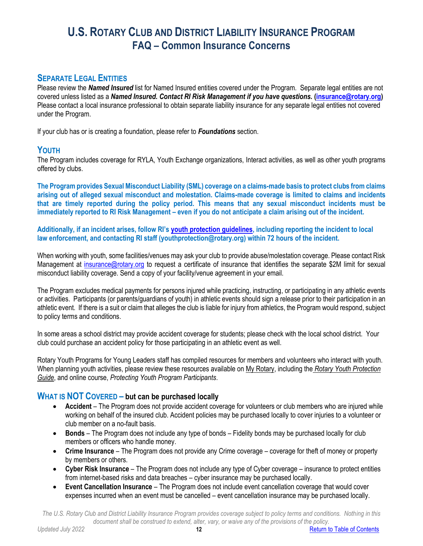## **SEPARATE LEGAL ENTITIES**

Please review the *Named Insured* list for Named Insured entities covered under the Program. Separate legal entities are not covered unless listed as a *Named Insured. Contact RI Risk Management if you have questions. [\(insurance@rotary.org\)](mailto:insurance@rotary.org)* Please contact a local insurance professional to obtain separate liability insurance for any separate legal entities not covered under the Program.

If your club has or is creating a foundation, please refer to *Foundations* section.

## <span id="page-11-0"></span>**YOUTH**

The Program includes coverage for RYLA, Youth Exchange organizations, Interact activities, as well as other youth programs offered by clubs.

**The Program provides Sexual Misconduct Liability (SML) coverage on a claims-made basis to protect clubs from claims arising out of alleged sexual misconduct and molestation. Claims-made coverage is limited to claims and incidents that are timely reported during the policy period. This means that any sexual misconduct incidents must be immediately reported to RI Risk Management – even if you do not anticipate a claim arising out of the incident.**

**Additionally, if an incident arises, follow RI's [youth protection guidelines,](https://my-cms.rotary.org/en/document/rotary-youth-protection-guide) including reporting the incident to local law enforcement, and contacting RI staff (youthprotection@rotary.org) within 72 hours of the incident.**

When working with youth, some facilities/venues may ask your club to provide abuse/molestation coverage. Please contact Risk Management at [insurance@rotary.org](mailto:insurance@rotary.org) to request a certificate of insurance that identifies the separate \$2M limit for sexual misconduct liability coverage. Send a copy of your facility/venue agreement in your email.

The Program excludes medical payments for persons injured while practicing, instructing, or participating in any athletic events or activities. Participants (or parents/guardians of youth) in athletic events should sign a release prior to their participation in an athletic event. If there is a suit or claim that alleges the club is liable for injury from athletics, the Program would respond, subject to policy terms and conditions.

In some areas a school district may provide accident coverage for students; please check with the local school district. Your club could purchase an accident policy for those participating in an athletic event as well.

Rotary Youth Programs for Young Leaders staff has compiled resources for members and volunteers who interact with youth. When planning youth activities, please review these resources available on [My Rotary,](https://my.rotary.org/en/) including the *[Rotary Youth Protection](https://my.rotary.org/en/document/rotary-youth-protection-guide)  [Guide](https://my.rotary.org/en/document/rotary-youth-protection-guide)*, and online course, *Protecting Youth Program Participants*.

## <span id="page-11-1"></span>**WHAT IS NOT COVERED – but can be purchased locally**

- **Accident** The Program does not provide accident coverage for volunteers or club members who are injured while working on behalf of the insured club. Accident policies may be purchased locally to cover injuries to a volunteer or club member on a no-fault basis.
- **Bonds** The Program does not include any type of bonds Fidelity bonds may be purchased locally for club members or officers who handle money.
- **Crime Insurance** The Program does not provide any Crime coverage coverage for theft of money or property by members or others.
- **Cyber Risk Insurance** The Program does not include any type of Cyber coverage insurance to protect entities from internet-based risks and data breaches – cyber insurance may be purchased locally.
- **Event Cancellation Insurance** The Program does not include event cancellation coverage that would cover expenses incurred when an event must be cancelled – event cancellation insurance may be purchased locally.